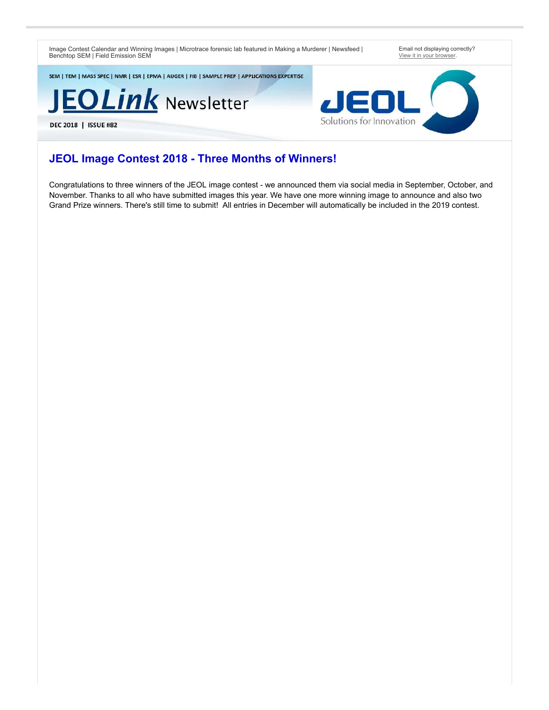Image Contest Calendar and Winning Images | Microtrace forensic lab featured in Making a Murderer | Newsfeed | Benchtop SEM | Field Emission SEM

Email not displaying correctly? [View it in your browser](https://go.jeolusa.com/webmail/234012/229013215/e058668f6eb232d70fc5edb18f85420befe238c0f5fd9ea158c708435e394286).

SEM | TEM | MASS SPEC | NMR | ESR | EPMA | AUGER | FIB | SAMPLE PREP | APPLICATIONS EXPERTISE

JEOLink Newsletter

DEC 2018 | ISSUE #82

Solutions for Innovation

#### **JEOL Image Contest 2018 - Three Months of Winners!**

Congratulations to three winners of the JEOL image contest - we announced them via social media in September, October, and November. Thanks to all who have submitted images this year. We have one more winning image to announce and also two Grand Prize winners. There's still time to submit! All entries in December will automatically be included in the 2019 contest.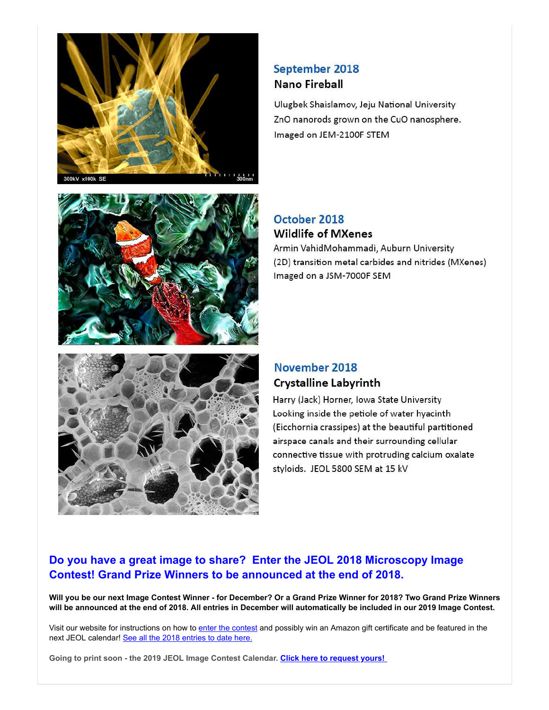





## September 2018 Nano Fireball

Ulugbek Shaislamov, Jeju National University ZnO nanorods grown on the CuO nanosphere. Imaged on JEM-2100F STEM

#### October 2018 **Wildlife of MXenes**

Armin VahidMohammadi, Auburn University (2D) transition metal carbides and nitrides (MXenes) Imaged on a JSM-7000F SEM

### November 2018 **Crystalline Labyrinth**

Harry (Jack) Horner, Iowa State University Looking inside the petiole of water hyacinth (Eicchornia crassipes) at the beautiful partitioned airspace canals and their surrounding cellular connective tissue with protruding calcium oxalate styloids. JEOL 5800 SEM at 15 kV

### **Do you have a great image to share? Enter the JEOL 2018 Microscopy Image Contest! Grand Prize Winners to be announced at the end of 2018.**

**Will you be our next Image Contest Winner - for December? Or a Grand Prize Winner for 2018? Two Grand Prize Winners will be announced at the end of 2018. All entries in December will automatically be included in our 2019 Image Contest.** 

Visit our website for instructions on how to [enter the contest](http://go.jeolusa.com/e/234012/ME-Misc-JEOL-USA-Image-Contest/7vgd2/229013215?h=gr22ZzqvGQWThzxpsJSVXo6aQqw3ugl2k0r3JI-JaFw) and possibly win an Amazon gift certificate and be featured in the next JEOL calendar! [See all the 2018 entries to date here.](http://go.jeolusa.com/e/234012/2ywDGUN/7vgd4/229013215?h=gr22ZzqvGQWThzxpsJSVXo6aQqw3ugl2k0r3JI-JaFw)

**Going to print soon - the 2019 JEOL Image Contest Calendar. [Click here to request yours!](http://go.jeolusa.com/e/234012/l-234012-2017-11-09-38jcd/7vgd6/229013215?h=gr22ZzqvGQWThzxpsJSVXo6aQqw3ugl2k0r3JI-JaFw)**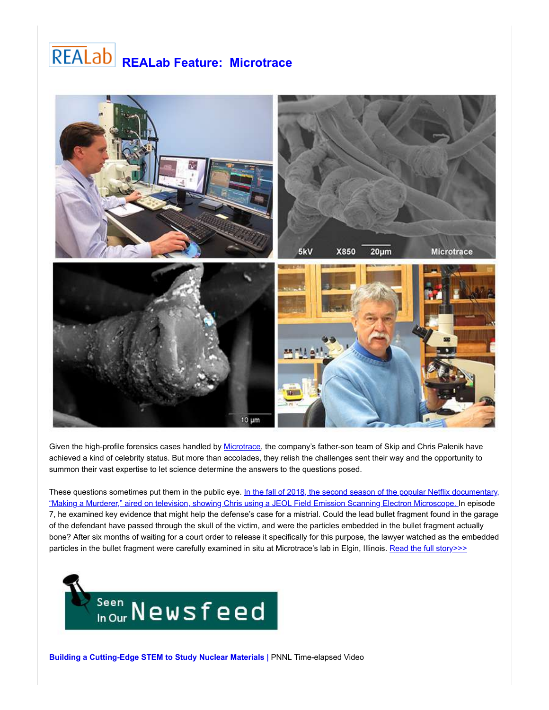# **REALab Feature: Microtrace**



Given the high-profile forensics cases handled by [Microtrace,](http://go.jeolusa.com/e/234012/materials-analyzed-/7vgfx/229013215?h=gr22ZzqvGQWThzxpsJSVXo6aQqw3ugl2k0r3JI-JaFw) the company's father-son team of Skip and Chris Palenik have achieved a kind of celebrity status. But more than accolades, they relish the challenges sent their way and the opportunity to summon their vast expertise to let science determine the answers to the questions posed.

[These questions sometimes put them in the public eye. In the fall of 2018, the second season of the popular Netflix documentary,](http://go.jeolusa.com/e/234012/sented-making-murderer-1203223/7vgdb/229013215?h=gr22ZzqvGQWThzxpsJSVXo6aQqw3ugl2k0r3JI-JaFw) "Making a Murderer," aired on television, showing Chris using a JEOL Field Emission Scanning Electron Microscope. In episode 7, he examined key evidence that might help the defense's case for a mistrial. Could the lead bullet fragment found in the garage of the defendant have passed through the skull of the victim, and were the particles embedded in the bullet fragment actually bone? After six months of waiting for a court order to release it specifically for this purpose, the lawyer watched as the embedded particles in the bullet fragment were carefully examined in situ at Microtrace's lab in Elgin, Illinois. [Read the full story>>>](http://go.jeolusa.com/e/234012/ICATIONS-REALab-Microtrace-LLC/7vgdd/229013215?h=gr22ZzqvGQWThzxpsJSVXo6aQqw3ugl2k0r3JI-JaFw)

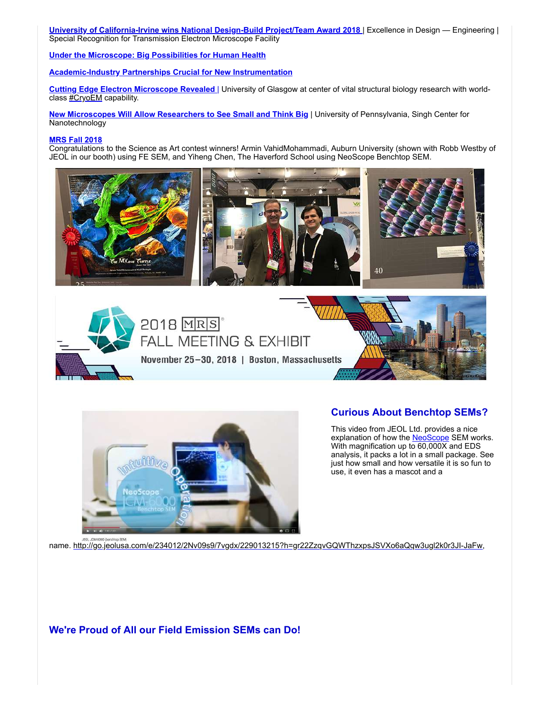**[University of California-Irvine wins National Design-Build Project/Team Award 2018](http://go.jeolusa.com/e/234012/lectron-microscope-facility-2-/7vgdj/229013215?h=gr22ZzqvGQWThzxpsJSVXo6aQqw3ugl2k0r3JI-JaFw)** | Excellence in Design — Engineering | Special Recognition for Transmission Electron Microscope Facility

**[Under the Microscope: Big Possibilities for Human Health](http://go.jeolusa.com/e/234012/UjCjrWMg--W-WTMkqF-A0-facebook/7vgdl/229013215?h=gr22ZzqvGQWThzxpsJSVXo6aQqw3ugl2k0r3JI-JaFw)**

**[Academic-Industry Partnerships Crucial for New Instrumentation](http://go.jeolusa.com/e/234012/cal26EngineeringNewsLatestNews/7vgdn/229013215?h=gr22ZzqvGQWThzxpsJSVXo6aQqw3ugl2k0r3JI-JaFw))**

**[Cutting Edge Electron Microscope Revealed](http://go.jeolusa.com/e/234012/e-electron-microscope-revealed/7vgfz/229013215?h=gr22ZzqvGQWThzxpsJSVXo6aQqw3ugl2k0r3JI-JaFw)** | University of Glasgow at center of vital structural biology research with worldclass **#CryoEM** capability.

**[New Microscopes Will Allow Researchers to See Small and Think Big](http://go.jeolusa.com/e/234012/rchers-see-small-and-think-big/7vgdv/229013215?h=gr22ZzqvGQWThzxpsJSVXo6aQqw3ugl2k0r3JI-JaFw)** | University of Pennsylvania, Singh Center for **Nanotechnology** 

#### **[MRS Fall 2018](http://go.jeolusa.com/e/234012/fall2018/7vgg2/229013215?h=gr22ZzqvGQWThzxpsJSVXo6aQqw3ugl2k0r3JI-JaFw)**

Congratulations to the Science as Art contest winners! Armin VahidMohammadi, Auburn University (shown with Robb Westby of JEOL in our booth) using FE SEM, and Yiheng Chen, The Haverford School using NeoScope Benchtop SEM.







#### **Curious About Benchtop SEMs?**

This video from JEOL Ltd. provides a nice explanation of how the [NeoScope](http://go.jeolusa.com/e/234012/Benchtop-NeoScope-Benchtop-SEM/7vgg4/229013215?h=gr22ZzqvGQWThzxpsJSVXo6aQqw3ugl2k0r3JI-JaFw) SEM works. With magnification up to  $60,000$ X and EDS analysis, it packs a lot in a small package. See just how small and how versatile it is so fun to use, it even has a mascot and a

name. [http://go.jeolusa.com/e/234012/2Nv09s9/7vgdx/229013215?h=gr22ZzqvGQWThzxpsJSVXo6aQqw3ugl2k0r3JI-JaFw](http://go.jeolusa.com/e/234012/4Qd1idgAFATJTLOjokGf7XTH89HFZY/7vgdz/229013215?h=gr22ZzqvGQWThzxpsJSVXo6aQqw3ugl2k0r3JI-JaFw),

**We're Proud of All our Field Emission SEMs can Do!**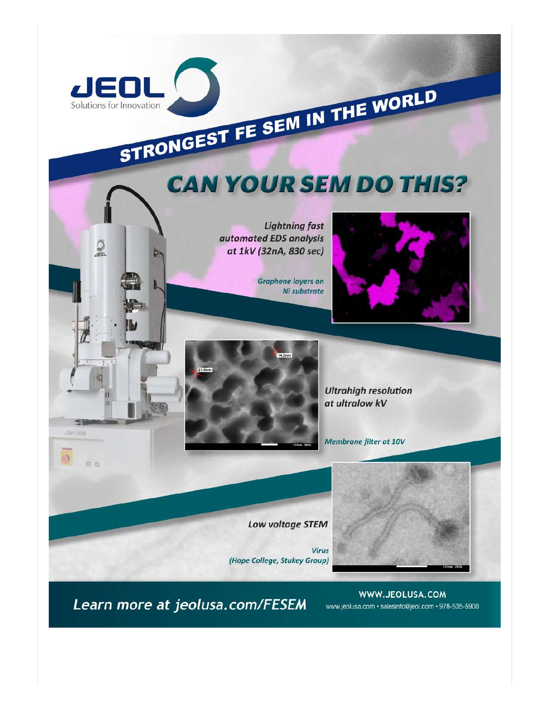